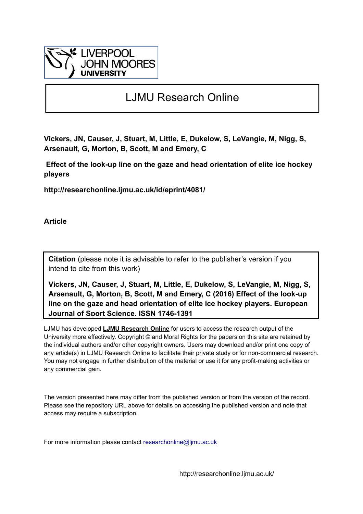

# LJMU Research Online

**Vickers, JN, Causer, J, Stuart, M, Little, E, Dukelow, S, LeVangie, M, Nigg, S, Arsenault, G, Morton, B, Scott, M and Emery, C**

 **Effect of the look-up line on the gaze and head orientation of elite ice hockey players**

**http://researchonline.ljmu.ac.uk/id/eprint/4081/**

**Article**

**Citation** (please note it is advisable to refer to the publisher's version if you intend to cite from this work)

**Vickers, JN, Causer, J, Stuart, M, Little, E, Dukelow, S, LeVangie, M, Nigg, S, Arsenault, G, Morton, B, Scott, M and Emery, C (2016) Effect of the look-up line on the gaze and head orientation of elite ice hockey players. European Journal of Sport Science. ISSN 1746-1391** 

LJMU has developed **[LJMU Research Online](http://researchonline.ljmu.ac.uk/)** for users to access the research output of the University more effectively. Copyright © and Moral Rights for the papers on this site are retained by the individual authors and/or other copyright owners. Users may download and/or print one copy of any article(s) in LJMU Research Online to facilitate their private study or for non-commercial research. You may not engage in further distribution of the material or use it for any profit-making activities or any commercial gain.

The version presented here may differ from the published version or from the version of the record. Please see the repository URL above for details on accessing the published version and note that access may require a subscription.

For more information please contact researchonline@limu.ac.uk

http://researchonline.ljmu.ac.uk/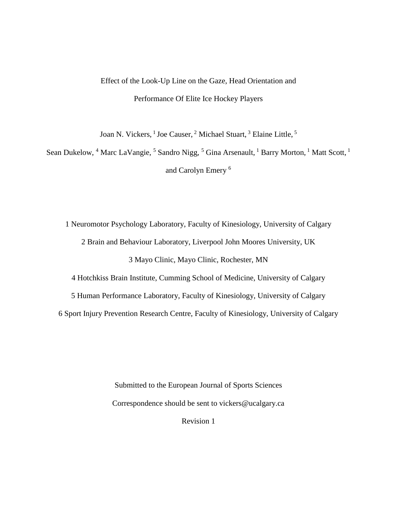# Effect of the Look-Up Line on the Gaze, Head Orientation and Performance Of Elite Ice Hockey Players

Joan N. Vickers, <sup>1</sup> Joe Causer, <sup>2</sup> Michael Stuart, <sup>3</sup> Elaine Little, <sup>5</sup>

Sean Dukelow, <sup>4</sup> Marc LaVangie, <sup>5</sup> Sandro Nigg, <sup>5</sup> Gina Arsenault, <sup>1</sup> Barry Morton, <sup>1</sup> Matt Scott, <sup>1</sup> and Carolyn Emery <sup>6</sup>

1 Neuromotor Psychology Laboratory, Faculty of Kinesiology, University of Calgary 2 Brain and Behaviour Laboratory, Liverpool John Moores University, UK 3 Mayo Clinic, Mayo Clinic, Rochester, MN

4 Hotchkiss Brain Institute, Cumming School of Medicine, University of Calgary

5 Human Performance Laboratory, Faculty of Kinesiology, University of Calgary

6 Sport Injury Prevention Research Centre, Faculty of Kinesiology, University of Calgary

Submitted to the European Journal of Sports Sciences Correspondence should be sent to vickers@ucalgary.ca Revision 1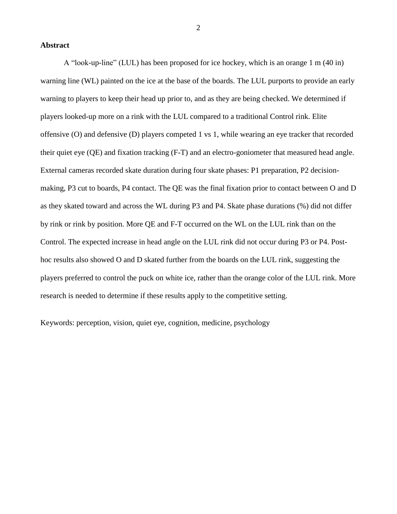## **Abstract**

A "look-up-line" (LUL) has been proposed for ice hockey, which is an orange 1 m (40 in) warning line (WL) painted on the ice at the base of the boards. The LUL purports to provide an early warning to players to keep their head up prior to, and as they are being checked. We determined if players looked-up more on a rink with the LUL compared to a traditional Control rink. Elite offensive (O) and defensive (D) players competed 1 vs 1, while wearing an eye tracker that recorded their quiet eye (QE) and fixation tracking (F-T) and an electro-goniometer that measured head angle. External cameras recorded skate duration during four skate phases: P1 preparation, P2 decisionmaking, P3 cut to boards, P4 contact. The QE was the final fixation prior to contact between O and D as they skated toward and across the WL during P3 and P4. Skate phase durations (%) did not differ by rink or rink by position. More QE and F-T occurred on the WL on the LUL rink than on the Control. The expected increase in head angle on the LUL rink did not occur during P3 or P4. Posthoc results also showed O and D skated further from the boards on the LUL rink, suggesting the players preferred to control the puck on white ice, rather than the orange color of the LUL rink. More research is needed to determine if these results apply to the competitive setting.

Keywords: perception, vision, quiet eye, cognition, medicine, psychology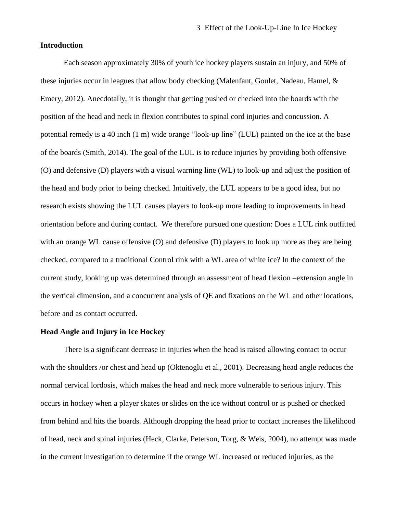# **Introduction**

Each season approximately 30% of youth ice hockey players sustain an injury, and 50% of these injuries occur in leagues that allow body checking (Malenfant, Goulet, Nadeau, Hamel, & Emery, 2012). Anecdotally, it is thought that getting pushed or checked into the boards with the position of the head and neck in flexion contributes to spinal cord injuries and concussion. A potential remedy is a 40 inch (1 m) wide orange "look-up line" (LUL) painted on the ice at the base of the boards (Smith, 2014). The goal of the LUL is to reduce injuries by providing both offensive (O) and defensive (D) players with a visual warning line (WL) to look-up and adjust the position of the head and body prior to being checked. Intuitively, the LUL appears to be a good idea, but no research exists showing the LUL causes players to look-up more leading to improvements in head orientation before and during contact. We therefore pursued one question: Does a LUL rink outfitted with an orange WL cause offensive (O) and defensive (D) players to look up more as they are being checked, compared to a traditional Control rink with a WL area of white ice? In the context of the current study, looking up was determined through an assessment of head flexion –extension angle in the vertical dimension, and a concurrent analysis of QE and fixations on the WL and other locations, before and as contact occurred.

# **Head Angle and Injury in Ice Hockey**

There is a significant decrease in injuries when the head is raised allowing contact to occur with the shoulders /or chest and head up (Oktenoglu et al., 2001). Decreasing head angle reduces the normal cervical lordosis, which makes the head and neck more vulnerable to serious injury. This occurs in hockey when a player skates or slides on the ice without control or is pushed or checked from behind and hits the boards. Although dropping the head prior to contact increases the likelihood of head, neck and spinal injuries (Heck, Clarke, Peterson, Torg, & Weis, 2004), no attempt was made in the current investigation to determine if the orange WL increased or reduced injuries, as the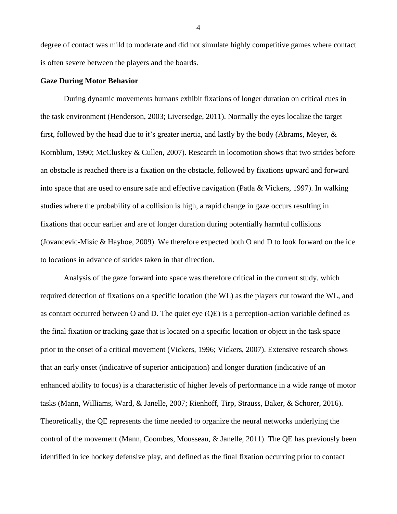degree of contact was mild to moderate and did not simulate highly competitive games where contact is often severe between the players and the boards.

#### **Gaze During Motor Behavior**

During dynamic movements humans exhibit fixations of longer duration on critical cues in the task environment (Henderson, 2003; Liversedge, 2011). Normally the eyes localize the target first, followed by the head due to it's greater inertia, and lastly by the body (Abrams, Meyer, & Kornblum, 1990; McCluskey & Cullen, 2007). Research in locomotion shows that two strides before an obstacle is reached there is a fixation on the obstacle, followed by fixations upward and forward into space that are used to ensure safe and effective navigation (Patla & Vickers, 1997). In walking studies where the probability of a collision is high, a rapid change in gaze occurs resulting in fixations that occur earlier and are of longer duration during potentially harmful collisions (Jovancevic-Misic & Hayhoe, 2009). We therefore expected both O and D to look forward on the ice to locations in advance of strides taken in that direction.

Analysis of the gaze forward into space was therefore critical in the current study, which required detection of fixations on a specific location (the WL) as the players cut toward the WL, and as contact occurred between O and D. The quiet eye (QE) is a perception-action variable defined as the final fixation or tracking gaze that is located on a specific location or object in the task space prior to the onset of a critical movement (Vickers, 1996; Vickers, 2007). Extensive research shows that an early onset (indicative of superior anticipation) and longer duration (indicative of an enhanced ability to focus) is a characteristic of higher levels of performance in a wide range of motor tasks (Mann, Williams, Ward, & Janelle, 2007; Rienhoff, Tirp, Strauss, Baker, & Schorer, 2016). Theoretically, the QE represents the time needed to organize the neural networks underlying the control of the movement (Mann, Coombes, Mousseau, & Janelle, 2011). The QE has previously been identified in ice hockey defensive play, and defined as the final fixation occurring prior to contact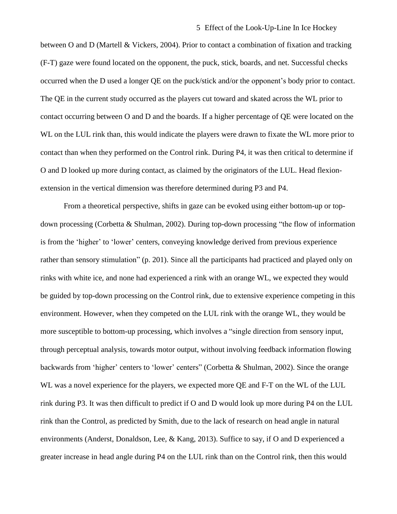## 5 Effect of the Look-Up-Line In Ice Hockey

between O and D (Martell & Vickers, 2004). Prior to contact a combination of fixation and tracking (F-T) gaze were found located on the opponent, the puck, stick, boards, and net. Successful checks occurred when the D used a longer QE on the puck/stick and/or the opponent's body prior to contact. The QE in the current study occurred as the players cut toward and skated across the WL prior to contact occurring between O and D and the boards. If a higher percentage of QE were located on the WL on the LUL rink than, this would indicate the players were drawn to fixate the WL more prior to contact than when they performed on the Control rink. During P4, it was then critical to determine if O and D looked up more during contact, as claimed by the originators of the LUL. Head flexionextension in the vertical dimension was therefore determined during P3 and P4.

From a theoretical perspective, shifts in gaze can be evoked using either bottom-up or topdown processing (Corbetta & Shulman, 2002). During top-down processing "the flow of information is from the 'higher' to 'lower' centers, conveying knowledge derived from previous experience rather than sensory stimulation" (p. 201). Since all the participants had practiced and played only on rinks with white ice, and none had experienced a rink with an orange WL, we expected they would be guided by top-down processing on the Control rink, due to extensive experience competing in this environment. However, when they competed on the LUL rink with the orange WL, they would be more susceptible to bottom-up processing, which involves a "single direction from sensory input, through perceptual analysis, towards motor output, without involving feedback information flowing backwards from 'higher' centers to 'lower' centers" (Corbetta & Shulman, 2002). Since the orange WL was a novel experience for the players, we expected more QE and F-T on the WL of the LUL rink during P3. It was then difficult to predict if O and D would look up more during P4 on the LUL rink than the Control, as predicted by Smith, due to the lack of research on head angle in natural environments (Anderst, Donaldson, Lee, & Kang, 2013). Suffice to say, if O and D experienced a greater increase in head angle during P4 on the LUL rink than on the Control rink, then this would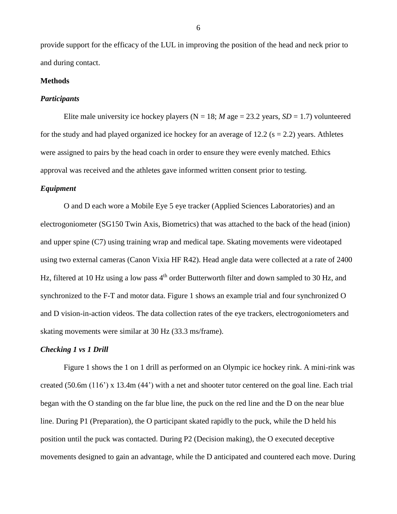provide support for the efficacy of the LUL in improving the position of the head and neck prior to and during contact.

## **Methods**

#### *Participants*

Elite male university ice hockey players ( $N = 18$ ; *M* age = 23.2 years, *SD* = 1.7) volunteered for the study and had played organized ice hockey for an average of 12.2 ( $s = 2.2$ ) years. Athletes were assigned to pairs by the head coach in order to ensure they were evenly matched. Ethics approval was received and the athletes gave informed written consent prior to testing.

#### *Equipment*

O and D each wore a Mobile Eye 5 eye tracker (Applied Sciences Laboratories) and an electrogoniometer (SG150 Twin Axis, Biometrics) that was attached to the back of the head (inion) and upper spine (C7) using training wrap and medical tape. Skating movements were videotaped using two external cameras (Canon Vixia HF R42). Head angle data were collected at a rate of 2400 Hz, filtered at 10 Hz using a low pass 4<sup>th</sup> order Butterworth filter and down sampled to 30 Hz, and synchronized to the F-T and motor data. Figure 1 shows an example trial and four synchronized O and D vision-in-action videos. The data collection rates of the eye trackers, electrogoniometers and skating movements were similar at 30 Hz (33.3 ms/frame).

## *Checking 1 vs 1 Drill*

Figure 1 shows the 1 on 1 drill as performed on an Olympic ice hockey rink. A mini-rink was created (50.6m (116') x 13.4m (44') with a net and shooter tutor centered on the goal line. Each trial began with the O standing on the far blue line, the puck on the red line and the D on the near blue line. During P1 (Preparation), the O participant skated rapidly to the puck, while the D held his position until the puck was contacted. During P2 (Decision making), the O executed deceptive movements designed to gain an advantage, while the D anticipated and countered each move. During

6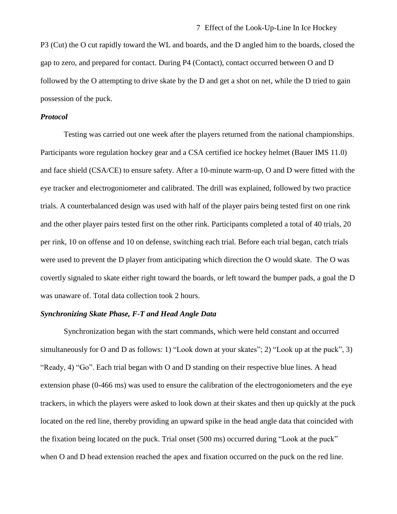P3 (Cut) the O cut rapidly toward the WL and boards, and the D angled him to the boards, closed the gap to zero, and prepared for contact. During P4 (Contact), contact occurred between O and D followed by the O attempting to drive skate by the D and get a shot on net, while the D tried to gain possession of the puck.

#### *Protocol*

Testing was carried out one week after the players returned from the national championships. Participants wore regulation hockey gear and a CSA certified ice hockey helmet (Bauer IMS 11.0) and face shield (CSA/CE) to ensure safety. After a 10-minute warm-up, O and D were fitted with the eye tracker and electrogoniometer and calibrated. The drill was explained, followed by two practice trials. A counterbalanced design was used with half of the player pairs being tested first on one rink and the other player pairs tested first on the other rink. Participants completed a total of 40 trials, 20 per rink, 10 on offense and 10 on defense, switching each trial. Before each trial began, catch trials were used to prevent the D player from anticipating which direction the O would skate. The O was covertly signaled to skate either right toward the boards, or left toward the bumper pads, a goal the D was unaware of. Total data collection took 2 hours.

## *Synchronizing Skate Phase, F-T and Head Angle Data*

Synchronization began with the start commands, which were held constant and occurred simultaneously for O and D as follows: 1) "Look down at your skates"; 2) "Look up at the puck", 3) "Ready, 4) "Go". Each trial began with O and D standing on their respective blue lines. A head extension phase (0-466 ms) was used to ensure the calibration of the electrogoniometers and the eye trackers, in which the players were asked to look down at their skates and then up quickly at the puck located on the red line, thereby providing an upward spike in the head angle data that coincided with the fixation being located on the puck. Trial onset (500 ms) occurred during "Look at the puck" when O and D head extension reached the apex and fixation occurred on the puck on the red line.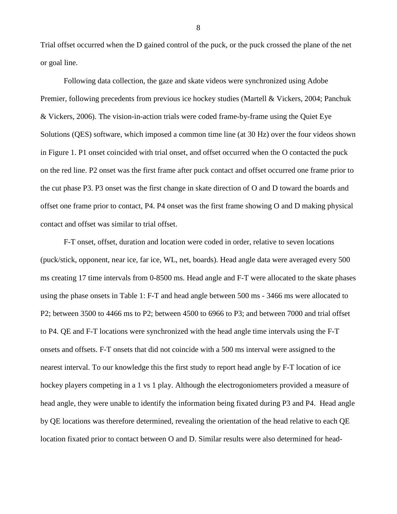Trial offset occurred when the D gained control of the puck, or the puck crossed the plane of the net or goal line.

Following data collection, the gaze and skate videos were synchronized using Adobe Premier, following precedents from previous ice hockey studies (Martell & Vickers, 2004; Panchuk & Vickers, 2006). The vision-in-action trials were coded frame-by-frame using the Quiet Eye Solutions (QES) software, which imposed a common time line (at 30 Hz) over the four videos shown in Figure 1. P1 onset coincided with trial onset, and offset occurred when the O contacted the puck on the red line. P2 onset was the first frame after puck contact and offset occurred one frame prior to the cut phase P3. P3 onset was the first change in skate direction of O and D toward the boards and offset one frame prior to contact, P4. P4 onset was the first frame showing O and D making physical contact and offset was similar to trial offset.

F-T onset, offset, duration and location were coded in order, relative to seven locations (puck/stick, opponent, near ice, far ice, WL, net, boards). Head angle data were averaged every 500 ms creating 17 time intervals from 0-8500 ms. Head angle and F-T were allocated to the skate phases using the phase onsets in Table 1: F-T and head angle between 500 ms - 3466 ms were allocated to P2; between 3500 to 4466 ms to P2; between 4500 to 6966 to P3; and between 7000 and trial offset to P4. QE and F-T locations were synchronized with the head angle time intervals using the F-T onsets and offsets. F-T onsets that did not coincide with a 500 ms interval were assigned to the nearest interval. To our knowledge this the first study to report head angle by F-T location of ice hockey players competing in a 1 vs 1 play. Although the electrogoniometers provided a measure of head angle, they were unable to identify the information being fixated during P3 and P4. Head angle by QE locations was therefore determined, revealing the orientation of the head relative to each QE location fixated prior to contact between O and D. Similar results were also determined for head-

8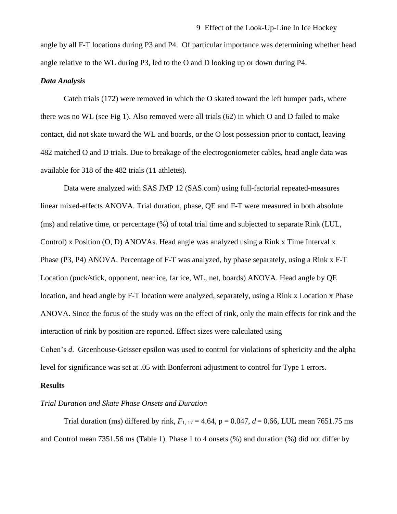angle by all F-T locations during P3 and P4. Of particular importance was determining whether head angle relative to the WL during P3, led to the O and D looking up or down during P4.

## *Data Analysis*

Catch trials (172) were removed in which the O skated toward the left bumper pads, where there was no WL (see Fig 1). Also removed were all trials (62) in which O and D failed to make contact, did not skate toward the WL and boards, or the O lost possession prior to contact, leaving 482 matched O and D trials. Due to breakage of the electrogoniometer cables, head angle data was available for 318 of the 482 trials (11 athletes).

Data were analyzed with SAS JMP 12 [\(SAS.com\)](http://sas.com/) using full-factorial repeated-measures linear mixed-effects ANOVA. Trial duration, phase, QE and F-T were measured in both absolute (ms) and relative time, or percentage (%) of total trial time and subjected to separate Rink (LUL, Control) x Position (O, D) ANOVAs. Head angle was analyzed using a Rink x Time Interval x Phase (P3, P4) ANOVA. Percentage of F-T was analyzed, by phase separately, using a Rink x F-T Location (puck/stick, opponent, near ice, far ice, WL, net, boards) ANOVA. Head angle by QE location, and head angle by F-T location were analyzed, separately, using a Rink x Location x Phase ANOVA. Since the focus of the study was on the effect of rink, only the main effects for rink and the interaction of rink by position are reported. Effect sizes were calculated using Cohen's *d*. Greenhouse-Geisser epsilon was used to control for violations of sphericity and the alpha

level for significance was set at .05 with Bonferroni adjustment to control for Type 1 errors.

# **Results**

## *Trial Duration and Skate Phase Onsets and Duration*

Trial duration (ms) differed by rink,  $F_{1, 17} = 4.64$ ,  $p = 0.047$ ,  $d = 0.66$ , LUL mean 7651.75 ms and Control mean 7351.56 ms (Table 1). Phase 1 to 4 onsets (%) and duration (%) did not differ by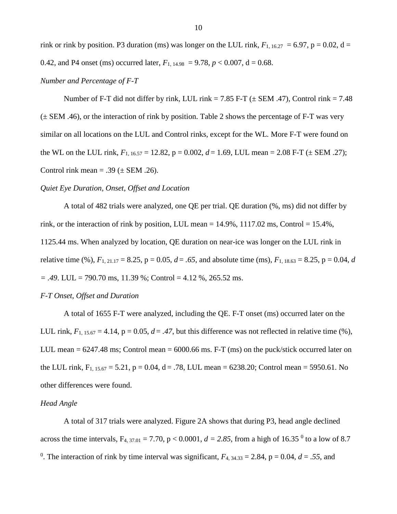rink or rink by position. P3 duration (ms) was longer on the LUL rink,  $F_{1, 16.27} = 6.97$ ,  $p = 0.02$ , d = 0.42, and P4 onset (ms) occurred later,  $F_{1, 14.98} = 9.78, p < 0.007, d = 0.68$ .

#### *Number and Percentage of F-T*

Number of F-T did not differ by rink, LUL rink =  $7.85$  F-T ( $\pm$  SEM .47), Control rink =  $7.48$  $(\pm$  SEM .46), or the interaction of rink by position. Table 2 shows the percentage of F-T was very similar on all locations on the LUL and Control rinks, except for the WL. More F-T were found on the WL on the LUL rink,  $F_{1, 16.57} = 12.82$ ,  $p = 0.002$ ,  $d = 1.69$ , LUL mean = 2.08 F-T ( $\pm$  SEM .27); Control rink mean = .39 ( $\pm$  SEM .26).

#### *Quiet Eye Duration, Onset, Offset and Location*

A total of 482 trials were analyzed, one QE per trial. QE duration (%, ms) did not differ by rink, or the interaction of rink by position, LUL mean  $= 14.9\%$ , 1117.02 ms, Control  $= 15.4\%$ , 1125.44 ms. When analyzed by location, QE duration on near-ice was longer on the LUL rink in relative time (%),  $F_{1, 21.17} = 8.25$ ,  $p = 0.05$ ,  $d = .65$ , and absolute time (ms),  $F_{1, 18.63} = 8.25$ ,  $p = 0.04$ , *d = .49*. LUL = 790.70 ms, 11.39 %; Control = 4.12 %, 265.52 ms.

# *F-T Onset, Offset and Duration*

A total of 1655 F-T were analyzed, including the QE. F-T onset (ms) occurred later on the LUL rink,  $F_{1, 15.67} = 4.14$ ,  $p = 0.05$ ,  $d = .47$ , but this difference was not reflected in relative time (%), LUL mean = 6247.48 ms; Control mean = 6000.66 ms. F-T (ms) on the puck/stick occurred later on the LUL rink,  $F_{1, 15.67} = 5.21$ ,  $p = 0.04$ ,  $d = .78$ , LUL mean = 6238.20; Control mean = 5950.61. No other differences were found.

# *Head Angle*

A total of 317 trials were analyzed. Figure 2A shows that during P3, head angle declined across the time intervals,  $F_{4, 37.01} = 7.70$ ,  $p < 0.0001$ ,  $d = 2.85$ , from a high of 16.35<sup>0</sup> to a low of 8.7 <sup>0</sup>. The interaction of rink by time interval was significant,  $F_{4, 34.33} = 2.84$ ,  $p = 0.04$ ,  $d = .55$ , and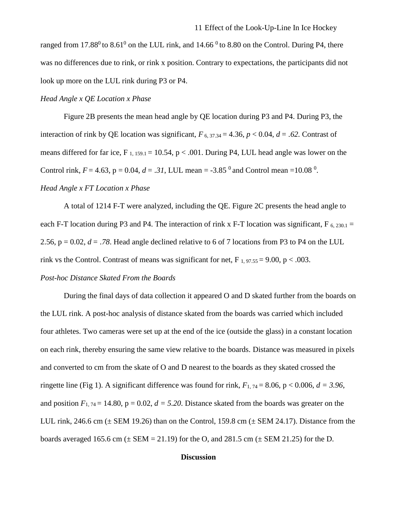ranged from 17.88 $\degree$  to 8.61 $\degree$  on the LUL rink, and 14.66  $\degree$  to 8.80 on the Control. During P4, there was no differences due to rink, or rink x position. Contrary to expectations, the participants did not look up more on the LUL rink during P3 or P4.

## *Head Angle x QE Location x Phase*

Figure 2B presents the mean head angle by QE location during P3 and P4. During P3, the interaction of rink by QE location was significant,  $F_{6, 37.34} = 4.36$ ,  $p < 0.04$ ,  $d = .62$ . Contrast of means differed for far ice,  $F_{1, 159.1} = 10.54$ ,  $p < .001$ . During P4, LUL head angle was lower on the Control rink,  $F = 4.63$ ,  $p = 0.04$ ,  $d = .31$ , LUL mean =  $-3.85<sup>0</sup>$  and Control mean =  $10.08<sup>0</sup>$ . *Head Angle x FT Location x Phase*

A total of 1214 F-T were analyzed, including the QE. Figure 2C presents the head angle to each F-T location during P3 and P4. The interaction of rink x F-T location was significant, F  $_{6, 230.1}$  = 2.56,  $p = 0.02$ ,  $d = 0.78$ . Head angle declined relative to 6 of 7 locations from P3 to P4 on the LUL rink vs the Control. Contrast of means was significant for net,  $F_{1,97.55} = 9.00$ , p < .003.

# *Post-hoc Distance Skated From the Boards*

During the final days of data collection it appeared O and D skated further from the boards on the LUL rink. A post-hoc analysis of distance skated from the boards was carried which included four athletes. Two cameras were set up at the end of the ice (outside the glass) in a constant location on each rink, thereby ensuring the same view relative to the boards. Distance was measured in pixels and converted to cm from the skate of O and D nearest to the boards as they skated crossed the ringette line (Fig 1). A significant difference was found for rink,  $F_{1,74} = 8.06$ ,  $p < 0.006$ ,  $d = 3.96$ , and position  $F_{1, 74} = 14.80$ ,  $p = 0.02$ ,  $d = 5.20$ . Distance skated from the boards was greater on the LUL rink, 246.6 cm  $(\pm$  SEM 19.26) than on the Control, 159.8 cm  $(\pm$  SEM 24.17). Distance from the boards averaged 165.6 cm  $(\pm$  SEM = 21.19) for the O, and 281.5 cm  $(\pm$  SEM 21.25) for the D.

# **Discussion**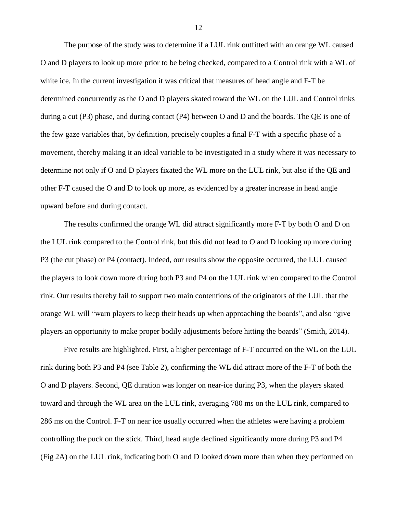The purpose of the study was to determine if a LUL rink outfitted with an orange WL caused O and D players to look up more prior to be being checked, compared to a Control rink with a WL of white ice. In the current investigation it was critical that measures of head angle and F-T be determined concurrently as the O and D players skated toward the WL on the LUL and Control rinks during a cut (P3) phase, and during contact (P4) between O and D and the boards. The QE is one of the few gaze variables that, by definition, precisely couples a final F-T with a specific phase of a movement, thereby making it an ideal variable to be investigated in a study where it was necessary to determine not only if O and D players fixated the WL more on the LUL rink, but also if the QE and other F-T caused the O and D to look up more, as evidenced by a greater increase in head angle upward before and during contact.

The results confirmed the orange WL did attract significantly more F-T by both O and D on the LUL rink compared to the Control rink, but this did not lead to O and D looking up more during P3 (the cut phase) or P4 (contact). Indeed, our results show the opposite occurred, the LUL caused the players to look down more during both P3 and P4 on the LUL rink when compared to the Control rink. Our results thereby fail to support two main contentions of the originators of the LUL that the orange WL will "warn players to keep their heads up when approaching the boards", and also "give players an opportunity to make proper bodily adjustments before hitting the boards" (Smith, 2014).

Five results are highlighted. First, a higher percentage of F-T occurred on the WL on the LUL rink during both P3 and P4 (see Table 2), confirming the WL did attract more of the F-T of both the O and D players. Second, QE duration was longer on near-ice during P3, when the players skated toward and through the WL area on the LUL rink, averaging 780 ms on the LUL rink, compared to 286 ms on the Control. F-T on near ice usually occurred when the athletes were having a problem controlling the puck on the stick. Third, head angle declined significantly more during P3 and P4 (Fig 2A) on the LUL rink, indicating both O and D looked down more than when they performed on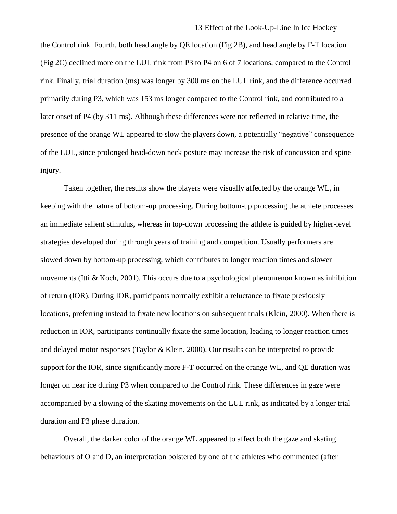## 13 Effect of the Look-Up-Line In Ice Hockey

the Control rink. Fourth, both head angle by QE location (Fig 2B), and head angle by F-T location (Fig 2C) declined more on the LUL rink from P3 to P4 on 6 of 7 locations, compared to the Control rink. Finally, trial duration (ms) was longer by 300 ms on the LUL rink, and the difference occurred primarily during P3, which was 153 ms longer compared to the Control rink, and contributed to a later onset of P4 (by 311 ms). Although these differences were not reflected in relative time, the presence of the orange WL appeared to slow the players down, a potentially "negative" consequence of the LUL, since prolonged head-down neck posture may increase the risk of concussion and spine injury.

Taken together, the results show the players were visually affected by the orange WL, in keeping with the nature of bottom-up processing. During bottom-up processing the athlete processes an immediate salient stimulus, whereas in top-down processing the athlete is guided by higher-level strategies developed during through years of training and competition. Usually performers are slowed down by bottom-up processing, which contributes to longer reaction times and slower movements (Itti & Koch, 2001). This occurs due to a psychological phenomenon known as inhibition of return (IOR). During IOR, participants normally exhibit a reluctance to fixate previously locations, preferring instead to fixate new locations on subsequent trials (Klein, 2000). When there is reduction in IOR, participants continually fixate the same location, leading to longer reaction times and delayed motor responses (Taylor & Klein, 2000). Our results can be interpreted to provide support for the IOR, since significantly more F-T occurred on the orange WL, and QE duration was longer on near ice during P3 when compared to the Control rink. These differences in gaze were accompanied by a slowing of the skating movements on the LUL rink, as indicated by a longer trial duration and P3 phase duration.

Overall, the darker color of the orange WL appeared to affect both the gaze and skating behaviours of O and D, an interpretation bolstered by one of the athletes who commented (after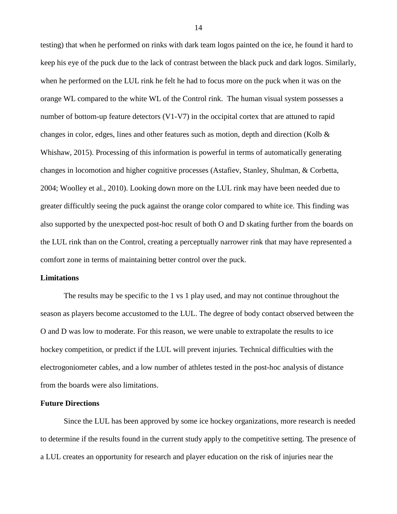testing) that when he performed on rinks with dark team logos painted on the ice, he found it hard to keep his eye of the puck due to the lack of contrast between the black puck and dark logos. Similarly, when he performed on the LUL rink he felt he had to focus more on the puck when it was on the orange WL compared to the white WL of the Control rink. The human visual system possesses a number of bottom-up feature detectors (V1-V7) in the occipital cortex that are attuned to rapid changes in color, edges, lines and other features such as motion, depth and direction (Kolb  $\&$ Whishaw, 2015). Processing of this information is powerful in terms of automatically generating changes in locomotion and higher cognitive processes (Astafiev, Stanley, Shulman, & Corbetta, 2004; Woolley et al., 2010). Looking down more on the LUL rink may have been needed due to greater difficultly seeing the puck against the orange color compared to white ice. This finding was also supported by the unexpected post-hoc result of both O and D skating further from the boards on the LUL rink than on the Control, creating a perceptually narrower rink that may have represented a comfort zone in terms of maintaining better control over the puck.

#### **Limitations**

The results may be specific to the 1 vs 1 play used, and may not continue throughout the season as players become accustomed to the LUL. The degree of body contact observed between the O and D was low to moderate. For this reason, we were unable to extrapolate the results to ice hockey competition, or predict if the LUL will prevent injuries. Technical difficulties with the electrogoniometer cables, and a low number of athletes tested in the post-hoc analysis of distance from the boards were also limitations.

# **Future Directions**

Since the LUL has been approved by some ice hockey organizations, more research is needed to determine if the results found in the current study apply to the competitive setting. The presence of a LUL creates an opportunity for research and player education on the risk of injuries near the

14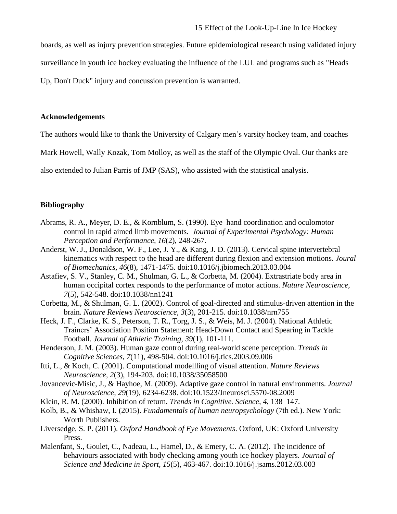boards, as well as injury prevention strategies. Future epidemiological research using validated injury

surveillance in youth ice hockey evaluating the influence of the LUL and programs such as "Heads

Up, Don't Duck" injury and concussion prevention is warranted.

# **Acknowledgements**

The authors would like to thank the University of Calgary men's varsity hockey team, and coaches

Mark Howell, Wally Kozak, Tom Molloy, as well as the staff of the Olympic Oval. Our thanks are

also extended to Julian Parris of JMP (SAS), who assisted with the statistical analysis.

# **Bibliography**

- Abrams, R. A., Meyer, D. E., & Kornblum, S. (1990). Eye–hand coordination and oculomotor control in rapid aimed limb movements. *Journal of Experimental Psychology: Human Perception and Performance, 16*(2), 248-267.
- Anderst, W. J., Donaldson, W. F., Lee, J. Y., & Kang, J. D. (2013). Cervical spine intervertebral kinematics with respect to the head are different during flexion and extension motions. *Joural of Biomechanics, 46*(8), 1471-1475. doi:10.1016/j.jbiomech.2013.03.004
- Astafiev, S. V., Stanley, C. M., Shulman, G. L., & Corbetta, M. (2004). Extrastriate body area in human occipital cortex responds to the performance of motor actions. *Nature Neuroscience, 7*(5), 542-548. doi:10.1038/nn1241
- Corbetta, M., & Shulman, G. L. (2002). Control of goal-directed and stimulus-driven attention in the brain. *Nature Reviews Neuroscience, 3*(3), 201-215. doi:10.1038/nrn755
- Heck, J. F., Clarke, K. S., Peterson, T. R., Torg, J. S., & Weis, M. J. (2004). National Athletic Trainers' Association Position Statement: Head-Down Contact and Spearing in Tackle Football. *Journal of Athletic Training, 39*(1), 101-111.
- Henderson, J. M. (2003). Human gaze control during real-world scene perception. *Trends in Cognitive Sciences, 7*(11), 498-504. doi:10.1016/j.tics.2003.09.006
- Itti, L., & Koch, C. (2001). Computational modellling of visual attention. *Nature Reviews Neuroscience, 2*(3), 194-203. doi:10.1038/35058500
- Jovancevic-Misic, J., & Hayhoe, M. (2009). Adaptive gaze control in natural environments. *Journal of Neuroscience, 29*(19), 6234-6238. doi:10.1523/Jneurosci.5570-08.2009
- Klein, R. M. (2000). Inhibition of return. *Trends in Cognitive. Science, 4*, 138–147.
- Kolb, B., & Whishaw, I. (2015). *Fundamentals of human neuropsychology* (7th ed.). New York: Worth Publishers.
- Liversedge, S. P. (2011). *Oxford Handbook of Eye Movements*. Oxford, UK: Oxford University Press.
- Malenfant, S., Goulet, C., Nadeau, L., Hamel, D., & Emery, C. A. (2012). The incidence of behaviours associated with body checking among youth ice hockey players. *Journal of Science and Medicine in Sport, 15*(5), 463-467. doi:10.1016/j.jsams.2012.03.003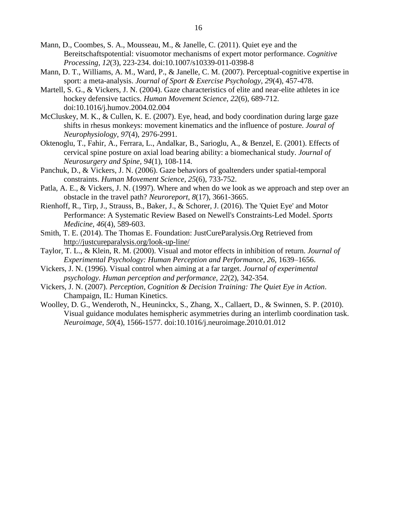- Mann, D., Coombes, S. A., Mousseau, M., & Janelle, C. (2011). Quiet eye and the Bereitschaftspotential: visuomotor mechanisms of expert motor performance. *Cognitive Processing, 12*(3), 223-234. doi:10.1007/s10339-011-0398-8
- Mann, D. T., Williams, A. M., Ward, P., & Janelle, C. M. (2007). Perceptual-cognitive expertise in sport: a meta-analysis. *Journal of Sport & Exercise Psychology, 29*(4), 457-478.
- Martell, S. G., & Vickers, J. N. (2004). Gaze characteristics of elite and near-elite athletes in ice hockey defensive tactics. *Human Movement Science, 22*(6), 689-712. doi:10.1016/j.humov.2004.02.004
- McCluskey, M. K., & Cullen, K. E. (2007). Eye, head, and body coordination during large gaze shifts in rhesus monkeys: movement kinematics and the influence of posture. *Joural of Neurophysiology, 97*(4), 2976-2991.
- Oktenoglu, T., Fahir, A., Ferrara, L., Andalkar, B., Sarioglu, A., & Benzel, E. (2001). Effects of cervical spine posture on axial load bearing ability: a biomechanical study. *Journal of Neurosurgery and Spine, 94*(1), 108-114.
- Panchuk, D., & Vickers, J. N. (2006). Gaze behaviors of goaltenders under spatial-temporal constraints. *Human Movement Science, 25*(6), 733-752.
- Patla, A. E., & Vickers, J. N. (1997). Where and when do we look as we approach and step over an obstacle in the travel path? *Neuroreport, 8*(17), 3661-3665.
- Rienhoff, R., Tirp, J., Strauss, B., Baker, J., & Schorer, J. (2016). The 'Quiet Eye' and Motor Performance: A Systematic Review Based on Newell's Constraints-Led Model. *Sports Medicine, 46*(4), 589-603.
- Smith, T. E. (2014). The Thomas E. Foundation: JustCureParalysis.Org Retrieved from <http://justcureparalysis.org/look-up-line/>
- Taylor, T. L., & Klein, R. M. (2000). Visual and motor effects in inhibition of return. *Journal of Experimental Psychology: Human Perception and Performance, 26*, 1639–1656.
- Vickers, J. N. (1996). Visual control when aiming at a far target. *Journal of experimental psychology. Human perception and performance, 22*(2), 342-354.
- Vickers, J. N. (2007). *Perception, Cognition & Decision Training: The Quiet Eye in Action*. Champaign, IL: Human Kinetics.
- Woolley, D. G., Wenderoth, N., Heuninckx, S., Zhang, X., Callaert, D., & Swinnen, S. P. (2010). Visual guidance modulates hemispheric asymmetries during an interlimb coordination task. *Neuroimage, 50*(4), 1566-1577. doi:10.1016/j.neuroimage.2010.01.012